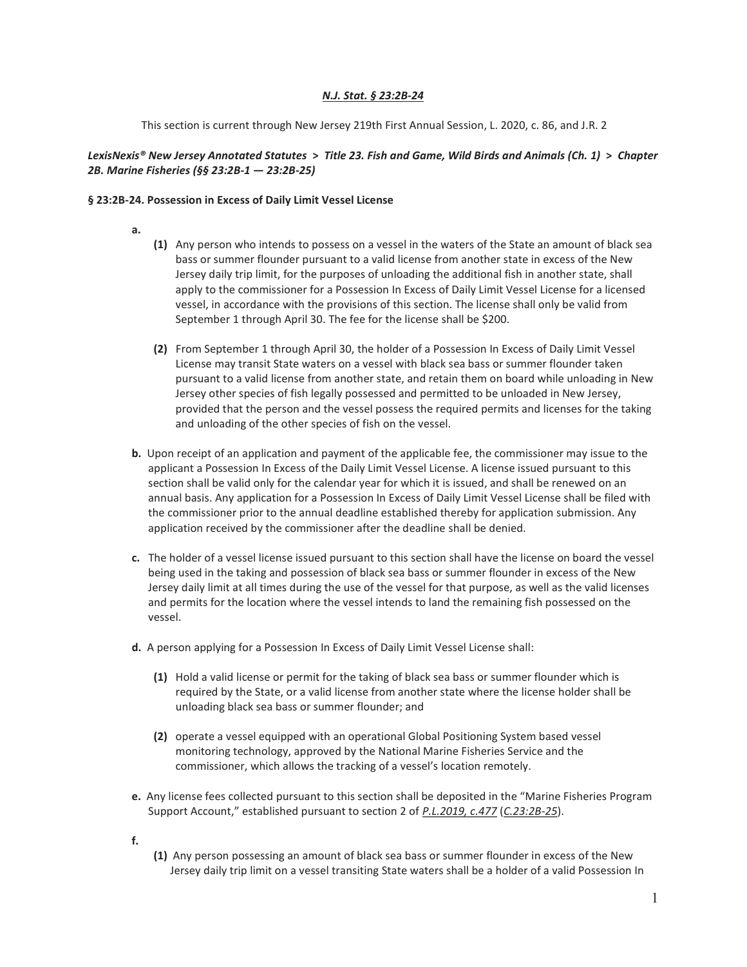## *N.J. Stat. § 23:2B-24*

This section is current through New Jersey 219th First Annual Session, L. 2020, c. 86, and J.R. 2

# *LexisNexis® New Jersey Annotated Statutes* > *Title 23. Fish and Game, Wild Birds and Animals (Ch. 1)* > *Chapter 2B. Marine Fisheries (§§ 23:2B-1 — 23:2B-25)*

### § 23:2B-24. Possession in Excess of Daily Limit Vessel License

- a.
- (1) Any person who intends to possess on a vessel in the waters of the State an amount of black sea bass or summer flounder pursuant to a valid license from another state in excess of the New Jersey daily trip limit, for the purposes of unloading the additional fish in another state, shall apply to the commissioner for a Possession In Excess of Daily Limit Vessel License for a licensed vessel, in accordance with the provisions of this section. The license shall only be valid from September 1 through April 30. The fee for the license shall be \$200.
- (2) From September 1 through April 30, the holder of a Possession In Excess of Daily Limit Vessel License may transit State waters on a vessel with black sea bass or summer flounder taken pursuant to a valid license from another state, and retain them on board while unloading in New Jersey other species of fish legally possessed and permitted to be unloaded in New Jersey, provided that the person and the vessel possess the required permits and licenses for the taking and unloading of the other species of fish on the vessel.
- b. Upon receipt of an application and payment of the applicable fee, the commissioner may issue to the applicant a Possession In Excess of the Daily Limit Vessel License. A license issued pursuant to this section shall be valid only for the calendar year for which it is issued, and shall be renewed on an annual basis. Any application for a Possession In Excess of Daily Limit Vessel License shall be filed with the commissioner prior to the annual deadline established thereby for application submission. Any application received by the commissioner after the deadline shall be denied.
- c. The holder of a vessel license issued pursuant to this section shall have the license on board the vessel being used in the taking and possession of black sea bass or summer flounder in excess of the New Jersey daily limit at all times during the use of the vessel for that purpose, as well as the valid licenses and permits for the location where the vessel intends to land the remaining fish possessed on the vessel.
- d. A person applying for a Possession In Excess of Daily Limit Vessel License shall:
	- (1) Hold a valid license or permit for the taking of black sea bass or summer flounder which is required by the State, or a valid license from another state where the license holder shall be unloading black sea bass or summer flounder; and
	- (2) operate a vessel equipped with an operational Global Positioning System based vessel monitoring technology, approved by the National Marine Fisheries Service and the commissioner, which allows the tracking of a vessel's location remotely.
- e. Any license fees collected pursuant to this section shall be deposited in the "Marine Fisheries Program Support Account," established pursuant to section 2 of *P.L.2019, c.477* (*C.23:2B-25*).
- f.
- (1) Any person possessing an amount of black sea bass or summer flounder in excess of the New Jersey daily trip limit on a vessel transiting State waters shall be a holder of a valid Possession In